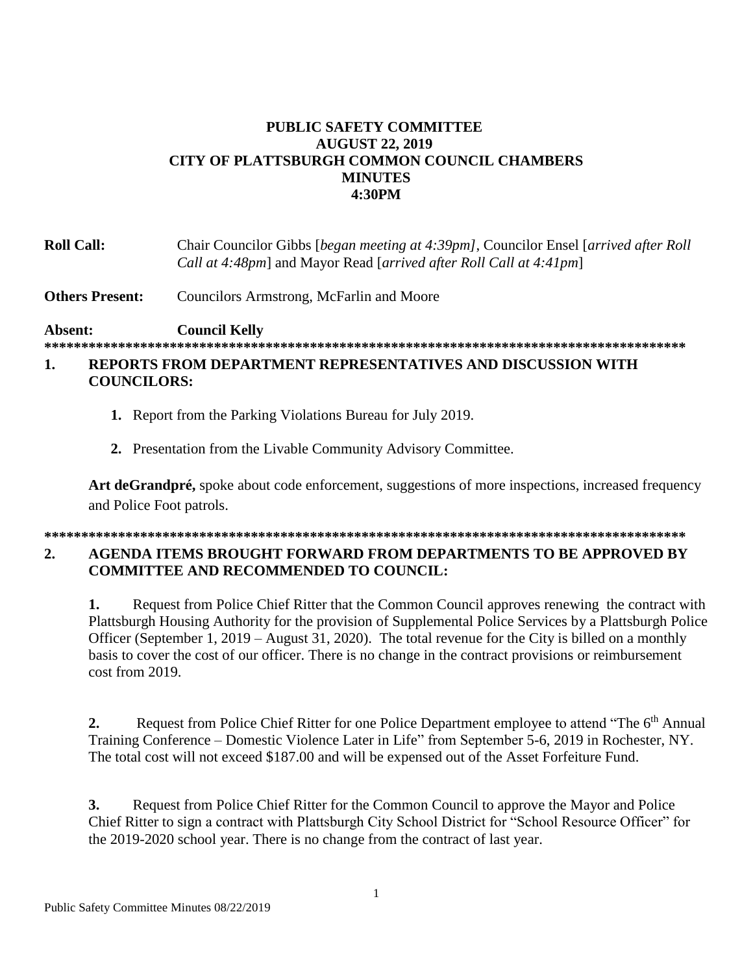## **PUBLIC SAFETY COMMITTEE AUGUST 22, 2019 CITY OF PLATTSBURGH COMMON COUNCIL CHAMBERS MINUTES 4:30PM**

| <b>Roll Call:</b> | Chair Councilor Gibbs [began meeting at 4:39pm], Councilor Ensel [arrived after Roll] |
|-------------------|---------------------------------------------------------------------------------------|
|                   | Call at 4:48pm] and Mayor Read [arrived after Roll Call at 4:41pm]                    |

**Others Present:** Councilors Armstrong, McFarlin and Moore

**Absent: Council Kelly**

**\*\*\*\*\*\*\*\*\*\*\*\*\*\*\*\*\*\*\*\*\*\*\*\*\*\*\*\*\*\*\*\*\*\*\*\*\*\*\*\*\*\*\*\*\*\*\*\*\*\*\*\*\*\*\*\*\*\*\*\*\*\*\*\*\*\*\*\*\*\*\*\*\*\*\*\*\*\*\*\*\*\*\*\*\*\*\***

## **1. REPORTS FROM DEPARTMENT REPRESENTATIVES AND DISCUSSION WITH COUNCILORS:**

- **1.** Report from the Parking Violations Bureau for July 2019.
- **2.** Presentation from the Livable Community Advisory Committee.

**Art deGrandpré,** spoke about code enforcement, suggestions of more inspections, increased frequency and Police Foot patrols.

## **\*\*\*\*\*\*\*\*\*\*\*\*\*\*\*\*\*\*\*\*\*\*\*\*\*\*\*\*\*\*\*\*\*\*\*\*\*\*\*\*\*\*\*\*\*\*\*\*\*\*\*\*\*\*\*\*\*\*\*\*\*\*\*\*\*\*\*\*\*\*\*\*\*\*\*\*\*\*\*\*\*\*\*\*\*\*\***

## **2. AGENDA ITEMS BROUGHT FORWARD FROM DEPARTMENTS TO BE APPROVED BY COMMITTEE AND RECOMMENDED TO COUNCIL:**

**1.** Request from Police Chief Ritter that the Common Council approves renewing the contract with Plattsburgh Housing Authority for the provision of Supplemental Police Services by a Plattsburgh Police Officer (September 1, 2019 – August 31, 2020). The total revenue for the City is billed on a monthly basis to cover the cost of our officer. There is no change in the contract provisions or reimbursement cost from 2019.

**2.** Request from Police Chief Ritter for one Police Department employee to attend "The 6<sup>th</sup> Annual Training Conference – Domestic Violence Later in Life" from September 5-6, 2019 in Rochester, NY. The total cost will not exceed \$187.00 and will be expensed out of the Asset Forfeiture Fund.

**3.** Request from Police Chief Ritter for the Common Council to approve the Mayor and Police Chief Ritter to sign a contract with Plattsburgh City School District for "School Resource Officer" for the 2019-2020 school year. There is no change from the contract of last year.